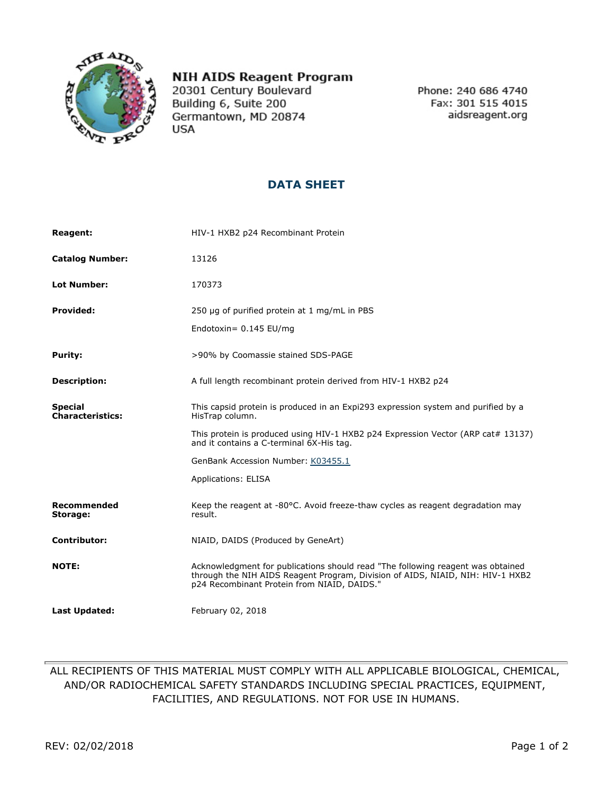

## **NIH AIDS Reagent Program**

20301 Century Boulevard Building 6, Suite 200 Germantown, MD 20874 **USA** 

Phone: 240 686 4740 Fax: 301 515 4015 aidsreagent.org

## **DATA SHEET**

| <b>Reagent:</b>                           | HIV-1 HXB2 p24 Recombinant Protein                                                                                                                                                                               |
|-------------------------------------------|------------------------------------------------------------------------------------------------------------------------------------------------------------------------------------------------------------------|
| <b>Catalog Number:</b>                    | 13126                                                                                                                                                                                                            |
| <b>Lot Number:</b>                        | 170373                                                                                                                                                                                                           |
| <b>Provided:</b>                          | 250 µg of purified protein at 1 mg/mL in PBS                                                                                                                                                                     |
|                                           | Endotoxin= 0.145 EU/mg                                                                                                                                                                                           |
| <b>Purity:</b>                            | >90% by Coomassie stained SDS-PAGE                                                                                                                                                                               |
| <b>Description:</b>                       | A full length recombinant protein derived from HIV-1 HXB2 p24                                                                                                                                                    |
| <b>Special</b><br><b>Characteristics:</b> | This capsid protein is produced in an Expi293 expression system and purified by a<br>HisTrap column.                                                                                                             |
|                                           | This protein is produced using HIV-1 HXB2 p24 Expression Vector (ARP cat# 13137)<br>and it contains a C-terminal 6X-His tag.                                                                                     |
|                                           | GenBank Accession Number: K03455.1                                                                                                                                                                               |
|                                           | <b>Applications: ELISA</b>                                                                                                                                                                                       |
| <b>Recommended</b><br>Storage:            | Keep the reagent at -80°C. Avoid freeze-thaw cycles as reagent degradation may<br>result.                                                                                                                        |
| <b>Contributor:</b>                       | NIAID, DAIDS (Produced by GeneArt)                                                                                                                                                                               |
| <b>NOTE:</b>                              | Acknowledgment for publications should read "The following reagent was obtained<br>through the NIH AIDS Reagent Program, Division of AIDS, NIAID, NIH: HIV-1 HXB2<br>p24 Recombinant Protein from NIAID, DAIDS." |
| <b>Last Updated:</b>                      | February 02, 2018                                                                                                                                                                                                |

## ALL RECIPIENTS OF THIS MATERIAL MUST COMPLY WITH ALL APPLICABLE BIOLOGICAL, CHEMICAL, AND/OR RADIOCHEMICAL SAFETY STANDARDS INCLUDING SPECIAL PRACTICES, EQUIPMENT, FACILITIES, AND REGULATIONS. NOT FOR USE IN HUMANS.